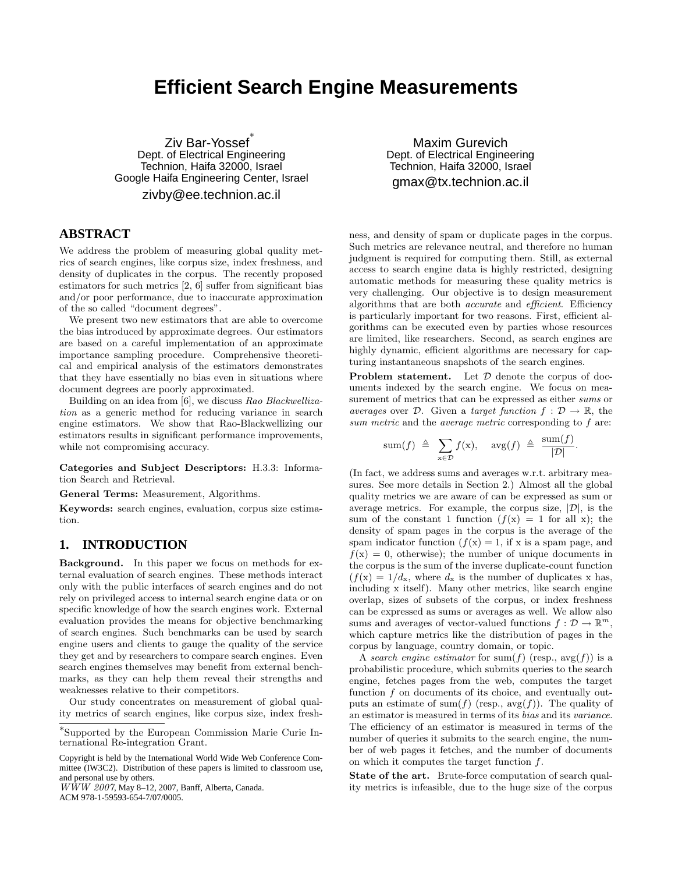# **Efficient Search Engine Measurements**

Ziv Bar-Yossef ∗ Dept. of Electrical Engineering Technion, Haifa 32000, Israel Google Haifa Engineering Center, Israel zivby@ee.technion.ac.il

# **ABSTRACT**

We address the problem of measuring global quality metrics of search engines, like corpus size, index freshness, and density of duplicates in the corpus. The recently proposed estimators for such metrics [2, 6] suffer from significant bias and/or poor performance, due to inaccurate approximation of the so called "document degrees".

We present two new estimators that are able to overcome the bias introduced by approximate degrees. Our estimators are based on a careful implementation of an approximate importance sampling procedure. Comprehensive theoretical and empirical analysis of the estimators demonstrates that they have essentially no bias even in situations where document degrees are poorly approximated.

Building on an idea from [6], we discuss Rao Blackwellization as a generic method for reducing variance in search engine estimators. We show that Rao-Blackwellizing our estimators results in significant performance improvements, while not compromising accuracy.

Categories and Subject Descriptors: H.3.3: Information Search and Retrieval.

General Terms: Measurement, Algorithms.

Keywords: search engines, evaluation, corpus size estimation.

# **1. INTRODUCTION**

Background. In this paper we focus on methods for external evaluation of search engines. These methods interact only with the public interfaces of search engines and do not rely on privileged access to internal search engine data or on specific knowledge of how the search engines work. External evaluation provides the means for objective benchmarking of search engines. Such benchmarks can be used by search engine users and clients to gauge the quality of the service they get and by researchers to compare search engines. Even search engines themselves may benefit from external benchmarks, as they can help them reveal their strengths and weaknesses relative to their competitors.

Our study concentrates on measurement of global quality metrics of search engines, like corpus size, index fresh-

Copyright is held by the International World Wide Web Conference Committee (IW3C2). Distribution of these papers is limited to classroom use, and personal use by others.

 $WWW$  2007, May 8-12, 2007, Banff, Alberta, Canada. ACM 978-1-59593-654-7/07/0005.

Maxim Gurevich Dept. of Electrical Engineering Technion, Haifa 32000, Israel gmax@tx.technion.ac.il

ness, and density of spam or duplicate pages in the corpus. Such metrics are relevance neutral, and therefore no human judgment is required for computing them. Still, as external access to search engine data is highly restricted, designing automatic methods for measuring these quality metrics is very challenging. Our objective is to design measurement algorithms that are both accurate and efficient. Efficiency is particularly important for two reasons. First, efficient algorithms can be executed even by parties whose resources are limited, like researchers. Second, as search engines are highly dynamic, efficient algorithms are necessary for capturing instantaneous snapshots of the search engines.

**Problem statement.** Let  $D$  denote the corpus of documents indexed by the search engine. We focus on measurement of metrics that can be expressed as either sums or averages over D. Given a target function  $f : \mathcal{D} \to \mathbb{R}$ , the sum metric and the *average metric* corresponding to f are:

$$
sum(f) \triangleq \sum_{x \in \mathcal{D}} f(x), \quad avg(f) \triangleq \frac{sum(f)}{|\mathcal{D}|}.
$$

(In fact, we address sums and averages w.r.t. arbitrary measures. See more details in Section 2.) Almost all the global quality metrics we are aware of can be expressed as sum or average metrics. For example, the corpus size,  $|\mathcal{D}|$ , is the sum of the constant 1 function  $(f(x) = 1$  for all x); the density of spam pages in the corpus is the average of the spam indicator function  $(f(x) = 1)$ , if x is a spam page, and  $f(x) = 0$ , otherwise); the number of unique documents in the corpus is the sum of the inverse duplicate-count function  $(f(x) = 1/d_x,$  where  $d_x$  is the number of duplicates x has, including x itself). Many other metrics, like search engine overlap, sizes of subsets of the corpus, or index freshness can be expressed as sums or averages as well. We allow also sums and averages of vector-valued functions  $f: \mathcal{D} \to \mathbb{R}^m$ , which capture metrics like the distribution of pages in the corpus by language, country domain, or topic.

A search engine estimator for sum(f) (resp.,  $avg(f)$ ) is a probabilistic procedure, which submits queries to the search engine, fetches pages from the web, computes the target function  $f$  on documents of its choice, and eventually outputs an estimate of sum(f) (resp.,  $\arg(f)$ ). The quality of an estimator is measured in terms of its bias and its variance. The efficiency of an estimator is measured in terms of the number of queries it submits to the search engine, the number of web pages it fetches, and the number of documents on which it computes the target function f.

State of the art. Brute-force computation of search quality metrics is infeasible, due to the huge size of the corpus

<sup>∗</sup> Supported by the European Commission Marie Curie International Re-integration Grant.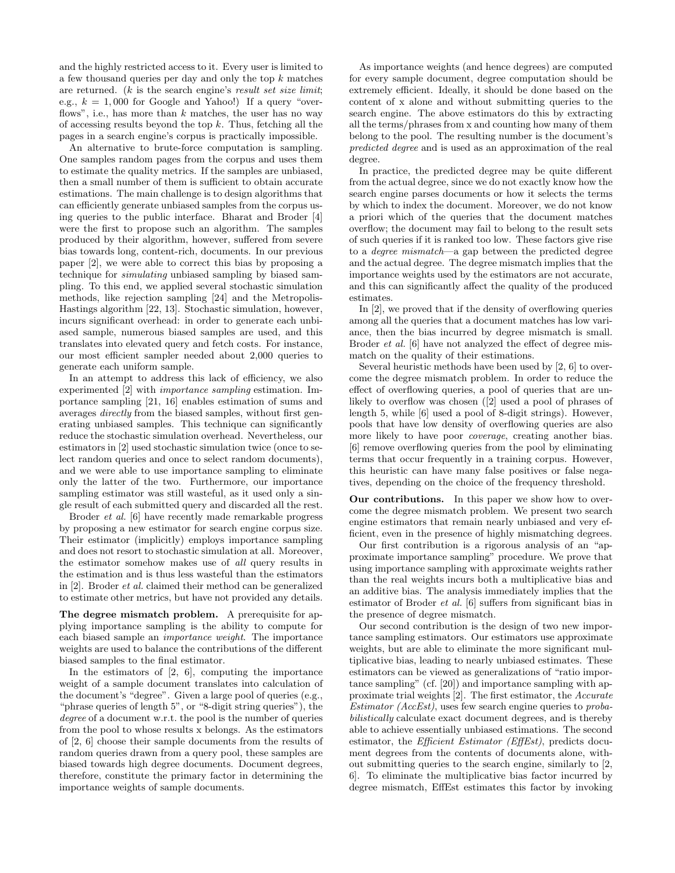and the highly restricted access to it. Every user is limited to a few thousand queries per day and only the top k matches are returned.  $(k$  is the search engine's result set size limit; e.g.,  $k = 1,000$  for Google and Yahoo!) If a query "overflows", i.e., has more than  $k$  matches, the user has no way of accessing results beyond the top  $k$ . Thus, fetching all the pages in a search engine's corpus is practically impossible.

An alternative to brute-force computation is sampling. One samples random pages from the corpus and uses them to estimate the quality metrics. If the samples are unbiased, then a small number of them is sufficient to obtain accurate estimations. The main challenge is to design algorithms that can efficiently generate unbiased samples from the corpus using queries to the public interface. Bharat and Broder [4] were the first to propose such an algorithm. The samples produced by their algorithm, however, suffered from severe bias towards long, content-rich, documents. In our previous paper [2], we were able to correct this bias by proposing a technique for simulating unbiased sampling by biased sampling. To this end, we applied several stochastic simulation methods, like rejection sampling [24] and the Metropolis-Hastings algorithm [22, 13]. Stochastic simulation, however, incurs significant overhead: in order to generate each unbiased sample, numerous biased samples are used, and this translates into elevated query and fetch costs. For instance, our most efficient sampler needed about 2,000 queries to generate each uniform sample.

In an attempt to address this lack of efficiency, we also experimented [2] with importance sampling estimation. Importance sampling [21, 16] enables estimation of sums and averages directly from the biased samples, without first generating unbiased samples. This technique can significantly reduce the stochastic simulation overhead. Nevertheless, our estimators in [2] used stochastic simulation twice (once to select random queries and once to select random documents), and we were able to use importance sampling to eliminate only the latter of the two. Furthermore, our importance sampling estimator was still wasteful, as it used only a single result of each submitted query and discarded all the rest.

Broder et al. [6] have recently made remarkable progress by proposing a new estimator for search engine corpus size. Their estimator (implicitly) employs importance sampling and does not resort to stochastic simulation at all. Moreover, the estimator somehow makes use of all query results in the estimation and is thus less wasteful than the estimators in [2]. Broder et al. claimed their method can be generalized to estimate other metrics, but have not provided any details.

The degree mismatch problem. A prerequisite for applying importance sampling is the ability to compute for each biased sample an importance weight. The importance weights are used to balance the contributions of the different biased samples to the final estimator.

In the estimators of  $[2, 6]$ , computing the importance weight of a sample document translates into calculation of the document's "degree". Given a large pool of queries (e.g., "phrase queries of length 5", or "8-digit string queries"), the degree of a document w.r.t. the pool is the number of queries from the pool to whose results x belongs. As the estimators of [2, 6] choose their sample documents from the results of random queries drawn from a query pool, these samples are biased towards high degree documents. Document degrees, therefore, constitute the primary factor in determining the importance weights of sample documents.

As importance weights (and hence degrees) are computed for every sample document, degree computation should be extremely efficient. Ideally, it should be done based on the content of x alone and without submitting queries to the search engine. The above estimators do this by extracting all the terms/phrases from x and counting how many of them belong to the pool. The resulting number is the document's predicted degree and is used as an approximation of the real degree.

In practice, the predicted degree may be quite different from the actual degree, since we do not exactly know how the search engine parses documents or how it selects the terms by which to index the document. Moreover, we do not know a priori which of the queries that the document matches overflow; the document may fail to belong to the result sets of such queries if it is ranked too low. These factors give rise to a degree mismatch—a gap between the predicted degree and the actual degree. The degree mismatch implies that the importance weights used by the estimators are not accurate, and this can significantly affect the quality of the produced estimates.

In [2], we proved that if the density of overflowing queries among all the queries that a document matches has low variance, then the bias incurred by degree mismatch is small. Broder *et al.* [6] have not analyzed the effect of degree mismatch on the quality of their estimations.

Several heuristic methods have been used by [2, 6] to overcome the degree mismatch problem. In order to reduce the effect of overflowing queries, a pool of queries that are unlikely to overflow was chosen ([2] used a pool of phrases of length 5, while [6] used a pool of 8-digit strings). However, pools that have low density of overflowing queries are also more likely to have poor coverage, creating another bias. [6] remove overflowing queries from the pool by eliminating terms that occur frequently in a training corpus. However, this heuristic can have many false positives or false negatives, depending on the choice of the frequency threshold.

Our contributions. In this paper we show how to overcome the degree mismatch problem. We present two search engine estimators that remain nearly unbiased and very efficient, even in the presence of highly mismatching degrees.

Our first contribution is a rigorous analysis of an "approximate importance sampling" procedure. We prove that using importance sampling with approximate weights rather than the real weights incurs both a multiplicative bias and an additive bias. The analysis immediately implies that the estimator of Broder et al. [6] suffers from significant bias in the presence of degree mismatch.

Our second contribution is the design of two new importance sampling estimators. Our estimators use approximate weights, but are able to eliminate the more significant multiplicative bias, leading to nearly unbiased estimates. These estimators can be viewed as generalizations of "ratio importance sampling" (cf. [20]) and importance sampling with approximate trial weights [2]. The first estimator, the Accurate Estimator ( $AccEst$ ), uses few search engine queries to probabilistically calculate exact document degrees, and is thereby able to achieve essentially unbiased estimations. The second estimator, the *Efficient Estimator (EffEst)*, predicts document degrees from the contents of documents alone, without submitting queries to the search engine, similarly to [2, 6]. To eliminate the multiplicative bias factor incurred by degree mismatch, EffEst estimates this factor by invoking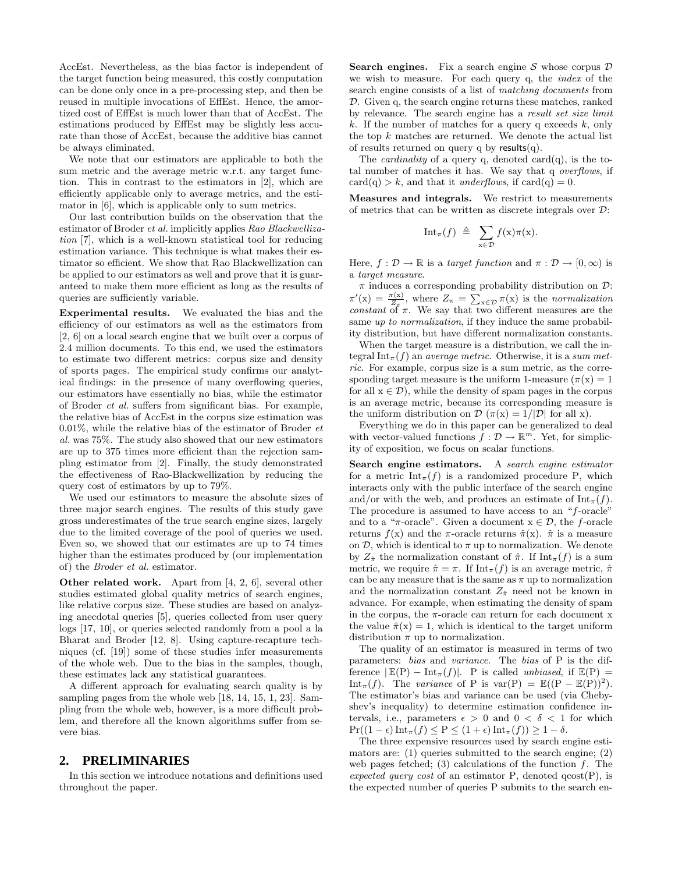AccEst. Nevertheless, as the bias factor is independent of the target function being measured, this costly computation can be done only once in a pre-processing step, and then be reused in multiple invocations of EffEst. Hence, the amortized cost of EffEst is much lower than that of AccEst. The estimations produced by EffEst may be slightly less accurate than those of AccEst, because the additive bias cannot be always eliminated.

We note that our estimators are applicable to both the sum metric and the average metric w.r.t. any target function. This in contrast to the estimators in [2], which are efficiently applicable only to average metrics, and the estimator in [6], which is applicable only to sum metrics.

Our last contribution builds on the observation that the estimator of Broder et al. implicitly applies Rao Blackwellization [7], which is a well-known statistical tool for reducing estimation variance. This technique is what makes their estimator so efficient. We show that Rao Blackwellization can be applied to our estimators as well and prove that it is guaranteed to make them more efficient as long as the results of queries are sufficiently variable.

Experimental results. We evaluated the bias and the efficiency of our estimators as well as the estimators from [2, 6] on a local search engine that we built over a corpus of 2.4 million documents. To this end, we used the estimators to estimate two different metrics: corpus size and density of sports pages. The empirical study confirms our analytical findings: in the presence of many overflowing queries, our estimators have essentially no bias, while the estimator of Broder et al. suffers from significant bias. For example, the relative bias of AccEst in the corpus size estimation was 0.01%, while the relative bias of the estimator of Broder  $et$ al. was 75%. The study also showed that our new estimators are up to 375 times more efficient than the rejection sampling estimator from [2]. Finally, the study demonstrated the effectiveness of Rao-Blackwellization by reducing the query cost of estimators by up to 79%.

We used our estimators to measure the absolute sizes of three major search engines. The results of this study gave gross underestimates of the true search engine sizes, largely due to the limited coverage of the pool of queries we used. Even so, we showed that our estimates are up to 74 times higher than the estimates produced by (our implementation of) the Broder et al. estimator.

Other related work. Apart from [4, 2, 6], several other studies estimated global quality metrics of search engines, like relative corpus size. These studies are based on analyzing anecdotal queries [5], queries collected from user query logs [17, 10], or queries selected randomly from a pool a la Bharat and Broder [12, 8]. Using capture-recapture techniques (cf. [19]) some of these studies infer measurements of the whole web. Due to the bias in the samples, though, these estimates lack any statistical guarantees.

A different approach for evaluating search quality is by sampling pages from the whole web [18, 14, 15, 1, 23]. Sampling from the whole web, however, is a more difficult problem, and therefore all the known algorithms suffer from severe bias.

# **2. PRELIMINARIES**

In this section we introduce notations and definitions used throughout the paper.

**Search engines.** Fix a search engine S whose corpus  $D$ we wish to measure. For each query q, the index of the search engine consists of a list of matching documents from D. Given q, the search engine returns these matches, ranked by relevance. The search engine has a result set size limit k. If the number of matches for a query q exceeds  $k$ , only the top  $k$  matches are returned. We denote the actual list of results returned on query q by results $(q)$ .

The *cardinality* of a query q, denoted card $(q)$ , is the total number of matches it has. We say that q overflows, if  $card(q) > k$ , and that it *underflows*, if  $card(q) = 0$ .

Measures and integrals. We restrict to measurements of metrics that can be written as discrete integrals over D:

$$
\mathrm{Int}_{\pi}(f) \triangleq \sum_{\mathbf{x} \in \mathcal{D}} f(\mathbf{x}) \pi(\mathbf{x}).
$$

Here,  $f : \mathcal{D} \to \mathbb{R}$  is a target function and  $\pi : \mathcal{D} \to [0, \infty)$  is a target measure.

 $\pi$  induces a corresponding probability distribution on  $\mathcal{D}$ :  $\pi'(\mathbf{x}) = \frac{\pi(\mathbf{x})}{Z_{\pi}}$ , where  $Z_{\pi} = \sum_{\mathbf{x} \in \mathcal{D}} \pi(\mathbf{x})$  is the normalization constant of  $\pi$ . We say that two different measures are the same up to normalization, if they induce the same probability distribution, but have different normalization constants.

When the target measure is a distribution, we call the integral Int<sub>π</sub> $(f)$  an *average metric*. Otherwise, it is a sum metric. For example, corpus size is a sum metric, as the corresponding target measure is the uniform 1-measure  $(\pi(x)) = 1$ for all  $x \in \mathcal{D}$ , while the density of spam pages in the corpus is an average metric, because its corresponding measure is the uniform distribution on  $\mathcal{D}(\pi(x) = 1/|\mathcal{D}|)$  for all x.

Everything we do in this paper can be generalized to deal with vector-valued functions  $f: \mathcal{D} \to \mathbb{R}^m$ . Yet, for simplicity of exposition, we focus on scalar functions.

Search engine estimators. A search engine estimator for a metric  $\text{Int}_{\pi}(f)$  is a randomized procedure P, which interacts only with the public interface of the search engine and/or with the web, and produces an estimate of  $\text{Int}_{\pi}(f)$ . The procedure is assumed to have access to an "f-oracle" and to a " $\pi$ -oracle". Given a document  $x \in \mathcal{D}$ , the f-oracle returns  $f(x)$  and the  $\pi$ -oracle returns  $\hat{\pi}(x)$ .  $\hat{\pi}$  is a measure on  $D$ , which is identical to  $\pi$  up to normalization. We denote by  $Z_{\hat{\pi}}$  the normalization constant of  $\hat{\pi}$ . If  $\text{Int}_{\pi}(f)$  is a sum metric, we require  $\hat{\pi} = \pi$ . If  $\text{Int}_{\pi}(f)$  is an average metric,  $\hat{\pi}$ can be any measure that is the same as  $\pi$  up to normalization and the normalization constant  $Z_{\hat{\pi}}$  need not be known in advance. For example, when estimating the density of spam in the corpus, the  $\pi$ -oracle can return for each document x the value  $\hat{\pi}(x) = 1$ , which is identical to the target uniform distribution  $\pi$  up to normalization.

The quality of an estimator is measured in terms of two parameters: bias and variance. The bias of P is the difference  $|\mathbb{E}(P) - Int_{\pi}(f)|$ . P is called unbiased, if  $\mathbb{E}(P) =$ Int<sub>π</sub>(f). The variance of P is var(P) =  $\mathbb{E}((P - \mathbb{E}(P))^2)$ . The estimator's bias and variance can be used (via Chebyshev's inequality) to determine estimation confidence intervals, i.e., parameters  $\epsilon > 0$  and  $0 < \delta < 1$  for which  $\Pr((1-\epsilon)\operatorname{Int}_{\pi}(f) \leq P \leq (1+\epsilon)\operatorname{Int}_{\pi}(f)) \geq 1-\delta.$ 

The three expensive resources used by search engine estimators are: (1) queries submitted to the search engine; (2) web pages fetched; (3) calculations of the function  $f$ . The expected query cost of an estimator P, denoted  $q\text{cost}(P)$ , is the expected number of queries P submits to the search en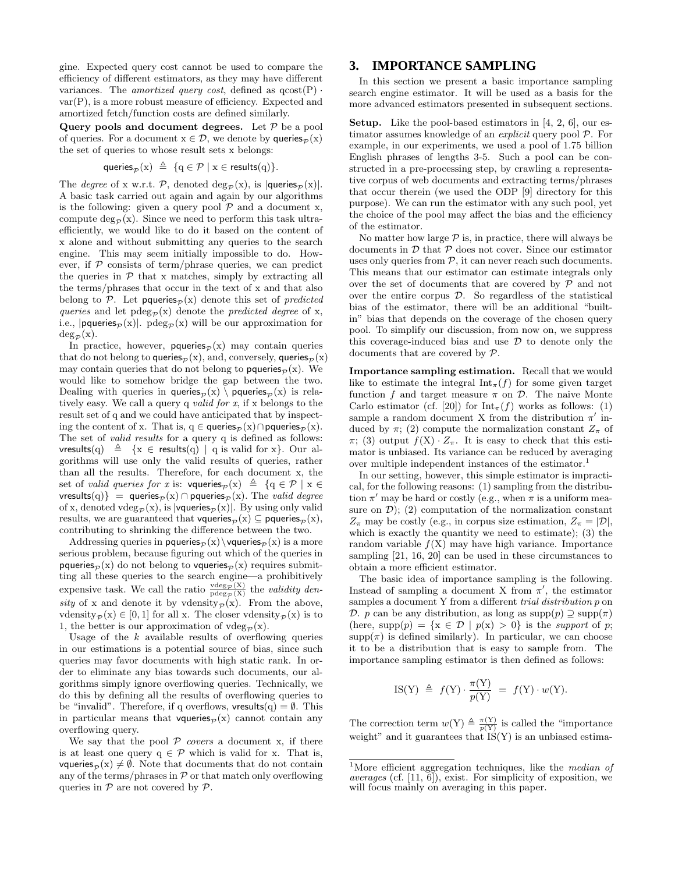gine. Expected query cost cannot be used to compare the efficiency of different estimators, as they may have different variances. The *amortized query cost*, defined as  $q\cos(f)$ . var(P), is a more robust measure of efficiency. Expected and amortized fetch/function costs are defined similarly.

Query pools and document degrees. Let  ${\mathcal P}$  be a pool of queries. For a document  $x \in \mathcal{D}$ , we denote by queries<sub> $\mathcal{D}(x)$ </sub> the set of queries to whose result sets x belongs:

$$
\mathsf{queries}_{\mathcal{P}}(x) \triangleq \{q \in \mathcal{P} \mid x \in \mathsf{results}(q)\}.
$$

The *degree* of x w.r.t. P, denoted  $\deg_{\mathcal{P}}(x)$ , is  $|\text{queries}_{\mathcal{P}}(x)|$ . A basic task carried out again and again by our algorithms is the following: given a query pool  ${\mathcal P}$  and a document x, compute  $\deg_{\mathcal{P}}(x)$ . Since we need to perform this task ultraefficiently, we would like to do it based on the content of x alone and without submitting any queries to the search engine. This may seem initially impossible to do. However, if  $P$  consists of term/phrase queries, we can predict the queries in  $P$  that x matches, simply by extracting all the terms/phrases that occur in the text of x and that also belong to P. Let pqueries<sub>p</sub>(x) denote this set of *predicted* queries and let  $p \deg_{\mathcal{P}}(x)$  denote the *predicted degree* of x, i.e.,  $|\text{pqueries}_{\mathcal{P}}(\mathbf{x})|$ .  $\text{pdeg}_{\mathcal{P}}(\mathbf{x})$  will be our approximation for  $deg_{\mathcal{P}}(x)$ .

In practice, however, **pqueries** $\mathcal{P}(\mathbf{x})$  may contain queries that do not belong to queries<sub> $\mathcal{P}$ </sub> (x), and, conversely, queries<sub> $\mathcal{P}$ </sub> (x) may contain queries that do not belong to **pqueries** $\mathcal{P}(\mathbf{x})$ . We would like to somehow bridge the gap between the two. Dealing with queries in queries $\mathcal{P}(\mathbf{x}) \setminus \mathbf{p}$  queries $\mathcal{P}(\mathbf{x})$  is relatively easy. We call a query q valid for x, if x belongs to the result set of q and we could have anticipated that by inspecting the content of x. That is, q ∈ queries<sub> $\mathcal{P}$ </sub> (x)∩pqueries<sub> $\mathcal{P}$ </sub> (x). The set of *valid results* for a query q is defined as follows: vresults(q)  $\triangleq \{x \in \text{results}(q) \mid q \text{ is valid for } x\}$ . Our algorithms will use only the valid results of queries, rather than all the results. Therefore, for each document x, the set of valid queries for x is: vqueries $_P(x) \triangleq \{q \in \mathcal{P} \mid x \in$ vresults(q)} = queries $p(x) \cap$  pqueries $p(x)$ . The valid degree of x, denoted vdeg $_{\mathcal{P}}(x)$ , is |vqueries $_{\mathcal{P}}(x)|$ . By using only valid results, we are guaranteed that vqueries<sub> $\mathcal{D}$ </sub> (x)  $\subseteq$  pqueries $\mathcal{D}$  (x), contributing to shrinking the difference between the two.

Addressing queries in pqueries $p(x)\$  vqueries $p(x)$  is a more serious problem, because figuring out which of the queries in pqueries<sub>p</sub> $(x)$  do not belong to vqueries<sub>p</sub> $(x)$  requires submitting all these queries to the search engine—a prohibitively expensive task. We call the ratio  $\frac{\text{vdeg}_{\mathcal{P}}(X)}{\text{pdeg}_{\mathcal{P}}(X)}$  the validity density of x and denote it by vdensity<sub>p</sub> $(x)$ . From the above, vdensity $\mathcal{P}(x) \in [0, 1]$  for all x. The closer vdensity  $\mathcal{P}(x)$  is to 1, the better is our approximation of  $vdeg_{\mathcal{D}}(x)$ .

Usage of the  $k$  available results of overflowing queries in our estimations is a potential source of bias, since such queries may favor documents with high static rank. In order to eliminate any bias towards such documents, our algorithms simply ignore overflowing queries. Technically, we do this by defining all the results of overflowing queries to be "invalid". Therefore, if q overflows,  $\mathsf{vresults}(q) = \emptyset$ . This in particular means that vqueries<sub> $\mathcal{D}(x)$ </sub> cannot contain any overflowing query.

We say that the pool  $P$  covers a document x, if there is at least one query  $q \in \mathcal{P}$  which is valid for x. That is, vqueries<sub> $\mathcal{P}(\mathbf{x}) \neq \emptyset$ . Note that documents that do not contain</sub> any of the terms/phrases in  $P$  or that match only overflowing queries in  $P$  are not covered by  $P$ .

# **3. IMPORTANCE SAMPLING**

In this section we present a basic importance sampling search engine estimator. It will be used as a basis for the more advanced estimators presented in subsequent sections.

Setup. Like the pool-based estimators in [4, 2, 6], our estimator assumes knowledge of an explicit query pool P. For example, in our experiments, we used a pool of 1.75 billion English phrases of lengths 3-5. Such a pool can be constructed in a pre-processing step, by crawling a representative corpus of web documents and extracting terms/phrases that occur therein (we used the ODP [9] directory for this purpose). We can run the estimator with any such pool, yet the choice of the pool may affect the bias and the efficiency of the estimator.

No matter how large  $P$  is, in practice, there will always be documents in  $D$  that  $P$  does not cover. Since our estimator uses only queries from  $P$ , it can never reach such documents. This means that our estimator can estimate integrals only over the set of documents that are covered by  $P$  and not over the entire corpus D. So regardless of the statistical bias of the estimator, there will be an additional "builtin" bias that depends on the coverage of the chosen query pool. To simplify our discussion, from now on, we suppress this coverage-induced bias and use  $\mathcal D$  to denote only the documents that are covered by P.

Importance sampling estimation. Recall that we would like to estimate the integral  $\text{Int}_{\pi}(f)$  for some given target function f and target measure  $\pi$  on  $\mathcal{D}$ . The naive Monte Carlo estimator (cf. [20]) for  $\text{Int}_{\pi}(f)$  works as follows: (1) sample a random document X from the distribution  $\pi'$  induced by  $\pi$ ; (2) compute the normalization constant  $Z_{\pi}$  of  $\pi$ ; (3) output  $f(X) \cdot Z_{\pi}$ . It is easy to check that this estimator is unbiased. Its variance can be reduced by averaging over multiple independent instances of the estimator.<sup>1</sup>

In our setting, however, this simple estimator is impractical, for the following reasons: (1) sampling from the distribution  $\pi'$  may be hard or costly (e.g., when  $\pi$  is a uniform measure on  $\mathcal{D}$ ); (2) computation of the normalization constant  $Z_{\pi}$  may be costly (e.g., in corpus size estimation,  $Z_{\pi} = |\mathcal{D}|$ , which is exactly the quantity we need to estimate); (3) the random variable  $f(X)$  may have high variance. Importance sampling [21, 16, 20] can be used in these circumstances to obtain a more efficient estimator.

The basic idea of importance sampling is the following. Instead of sampling a document X from  $\pi'$ , the estimator samples a document Y from a different *trial distribution* p on D. p can be any distribution, as long as  $\text{supp}(p) \supseteq \text{supp}(\pi)$ (here, supp $(p) = \{x \in \mathcal{D} \mid p(x) > 0\}$  is the support of p;  $supp(\pi)$  is defined similarly). In particular, we can choose it to be a distribution that is easy to sample from. The importance sampling estimator is then defined as follows:

$$
IS(Y) \triangleq f(Y) \cdot \frac{\pi(Y)}{p(Y)} = f(Y) \cdot w(Y).
$$

The correction term  $w(Y) \triangleq \frac{\pi(Y)}{p(Y)}$  is called the "importance" weight" and it guarantees that  $IS(Y)$  is an unbiased estima-

<sup>&</sup>lt;sup>1</sup>More efficient aggregation techniques, like the *median of averages* (cf.  $[11, 6]$ ), exist. For simplicity of exposition, we will focus mainly on averaging in this paper.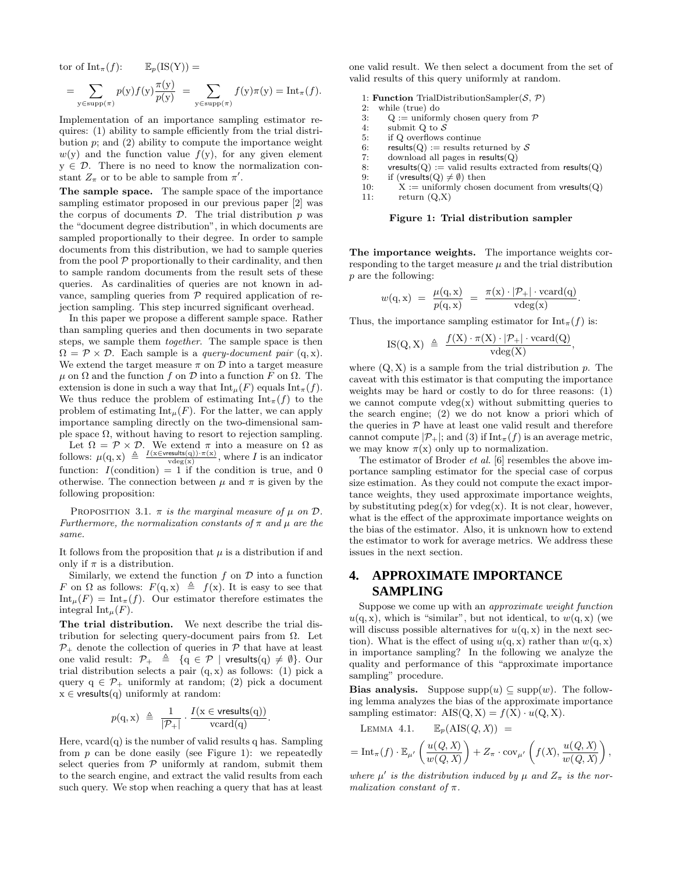tor of  $\text{Int}_{\pi}(f)$ :  $\mathbb{E}_p(\text{IS}(Y)) =$ 

$$
= \sum_{y \in \text{supp}(\pi)} p(y) f(y) \frac{\pi(y)}{p(y)} = \sum_{y \in \text{supp}(\pi)} f(y) \pi(y) = \text{Int}_{\pi}(f).
$$

Implementation of an importance sampling estimator requires: (1) ability to sample efficiently from the trial distribution  $p$ ; and  $(2)$  ability to compute the importance weight  $w(y)$  and the function value  $f(y)$ , for any given element  $y \in \mathcal{D}$ . There is no need to know the normalization constant  $Z_{\pi}$  or to be able to sample from  $\pi'$ .

The sample space. The sample space of the importance sampling estimator proposed in our previous paper [2] was the corpus of documents  $\mathcal{D}$ . The trial distribution  $p$  was the "document degree distribution", in which documents are sampled proportionally to their degree. In order to sample documents from this distribution, we had to sample queries from the pool  $P$  proportionally to their cardinality, and then to sample random documents from the result sets of these queries. As cardinalities of queries are not known in advance, sampling queries from  $P$  required application of rejection sampling. This step incurred significant overhead.

In this paper we propose a different sample space. Rather than sampling queries and then documents in two separate steps, we sample them together. The sample space is then  $\Omega = \mathcal{P} \times \mathcal{D}$ . Each sample is a *query-document pair* (q, x). We extend the target measure  $\pi$  on  $\mathcal D$  into a target measure  $\mu$  on  $\Omega$  and the function f on  $\mathcal D$  into a function F on  $\Omega$ . The extension is done in such a way that  $\text{Int}_{\mu}(F)$  equals  $\text{Int}_{\pi}(f)$ . We thus reduce the problem of estimating  $\text{Int}_{\pi}(f)$  to the problem of estimating  $\text{Int}_{\mu}(F)$ . For the latter, we can apply importance sampling directly on the two-dimensional sample space  $\Omega$ , without having to resort to rejection sampling.

Let  $\Omega = \mathcal{P} \times \mathcal{D}$ . We extend  $\pi$  into a measure on  $\Omega$  as follows:  $\mu(q, x) \triangleq \frac{I(x \in \text{versults}(q)) \cdot \pi(x)}{\text{vdeg}(x)}$ , where I is an indicator function:  $I$ (condition) = 1 if the condition is true, and 0 otherwise. The connection between  $\mu$  and  $\pi$  is given by the following proposition:

PROPOSITION 3.1.  $\pi$  is the marginal measure of  $\mu$  on  $\mathcal{D}$ . Furthermore, the normalization constants of  $\pi$  and  $\mu$  are the same.

It follows from the proposition that  $\mu$  is a distribution if and only if  $\pi$  is a distribution.

Similarly, we extend the function  $f$  on  $\mathcal D$  into a function F on  $\Omega$  as follows:  $F(q, x) \triangleq f(x)$ . It is easy to see that  $\text{Int}_{\mu}(F) = \text{Int}_{\pi}(f)$ . Our estimator therefore estimates the integral  $\text{Int}_{\mu}(F)$ .

The trial distribution. We next describe the trial distribution for selecting query-document pairs from  $Ω$ . Let  $\mathcal{P}_+$  denote the collection of queries in  $\bar{\mathcal{P}}$  that have at least one valid result:  $\mathcal{P}_+ \triangleq \{q \in \mathcal{P} \mid \text{vresults}(q) \neq \emptyset\}.$  Our trial distribution selects a pair  $(q, x)$  as follows: (1) pick a query  $q \in \mathcal{P}_+$  uniformly at random; (2) pick a document  $x \in$  vresults(q) uniformly at random:

$$
p(\mathbf{q}, \mathbf{x}) \triangleq \frac{1}{|\mathcal{P}_+|} \cdot \frac{I(\mathbf{x} \in \text{vresults}(\mathbf{q}))}{\text{vcard}(\mathbf{q})}.
$$

Here,  $vcard(q)$  is the number of valid results q has. Sampling from  $p$  can be done easily (see Figure 1): we repeatedly select queries from  $P$  uniformly at random, submit them to the search engine, and extract the valid results from each such query. We stop when reaching a query that has at least

one valid result. We then select a document from the set of valid results of this query uniformly at random.

- 1: **Function** TrialDistributionSampler( $S$ ,  $P$ )<br>2: while (true) do
- while (true) do
- 3:  $Q :=$  uniformly chosen query from  $P$
- 4: submit Q to  $\mathcal S$
- 5: if Q overflows continue
- 6: results(Q) := results returned by S<br>7: download all pages in results(Q)
- download all pages in  $results(Q)$
- 8: vresults( $Q$ ) := valid results extracted from results( $Q$ )
- 9: if (vresults( $Q \neq \emptyset$ ) then<br>10:  $X :=$  uniformly chosen
- $X :=$  uniformly chosen document from vresults(Q) 11:  $return (Q,X)$

#### Figure 1: Trial distribution sampler

The importance weights. The importance weights corresponding to the target measure  $\mu$  and the trial distribution p are the following:

$$
w(\mathbf{q}, \mathbf{x}) = \frac{\mu(\mathbf{q}, \mathbf{x})}{p(\mathbf{q}, \mathbf{x})} = \frac{\pi(\mathbf{x}) \cdot |\mathcal{P}_+| \cdot \text{vcard}(\mathbf{q})}{\text{vdeg}(\mathbf{x})}.
$$

Thus, the importance sampling estimator for  $\text{Int}_{\pi}(f)$  is:

$$
\mathrm{IS}(Q,X) \ \triangleq \ \frac{f(X) \cdot \pi(X) \cdot |\mathcal{P}_+| \cdot \mathrm{vcard}(Q)}{\mathrm{vdeg}(X)},
$$

where  $(Q, X)$  is a sample from the trial distribution p. The caveat with this estimator is that computing the importance weights may be hard or costly to do for three reasons: (1) we cannot compute  $vdeg(x)$  without submitting queries to the search engine; (2) we do not know a priori which of the queries in  $P$  have at least one valid result and therefore cannot compute  $|\mathcal{P}_+|$ ; and (3) if  $\text{Int}_{\pi}(f)$  is an average metric, we may know  $\pi(x)$  only up to normalization.

The estimator of Broder et al. [6] resembles the above importance sampling estimator for the special case of corpus size estimation. As they could not compute the exact importance weights, they used approximate importance weights, by substituting  $p \deg(x)$  for  $v \deg(x)$ . It is not clear, however, what is the effect of the approximate importance weights on the bias of the estimator. Also, it is unknown how to extend the estimator to work for average metrics. We address these issues in the next section.

# **4. APPROXIMATE IMPORTANCE SAMPLING**

Suppose we come up with an approximate weight function  $u(q, x)$ , which is "similar", but not identical, to  $w(q, x)$  (we will discuss possible alternatives for  $u(q, x)$  in the next section). What is the effect of using  $u(q, x)$  rather than  $w(q, x)$ in importance sampling? In the following we analyze the quality and performance of this "approximate importance sampling" procedure.

Bias analysis. Suppose  $supp(u) \subseteq supp(w)$ . The following lemma analyzes the bias of the approximate importance sampling estimator:  $\text{AIS}(Q, X) = f(X) \cdot u(Q, X)$ .

LEMMA 4.1. 
$$
\mathbb{E}_p(\text{AIS}(Q, X)) =
$$

$$
= \mathrm{Int}_{\pi}(f) \cdot \mathbb{E}_{\mu'}\left(\frac{u(Q,X)}{w(Q,X)}\right) + Z_{\pi} \cdot \mathrm{cov}_{\mu'}\left(f(X), \frac{u(Q,X)}{w(Q,X)}\right),
$$

where  $\mu'$  is the distribution induced by  $\mu$  and  $Z_{\pi}$  is the normalization constant of  $\pi$ .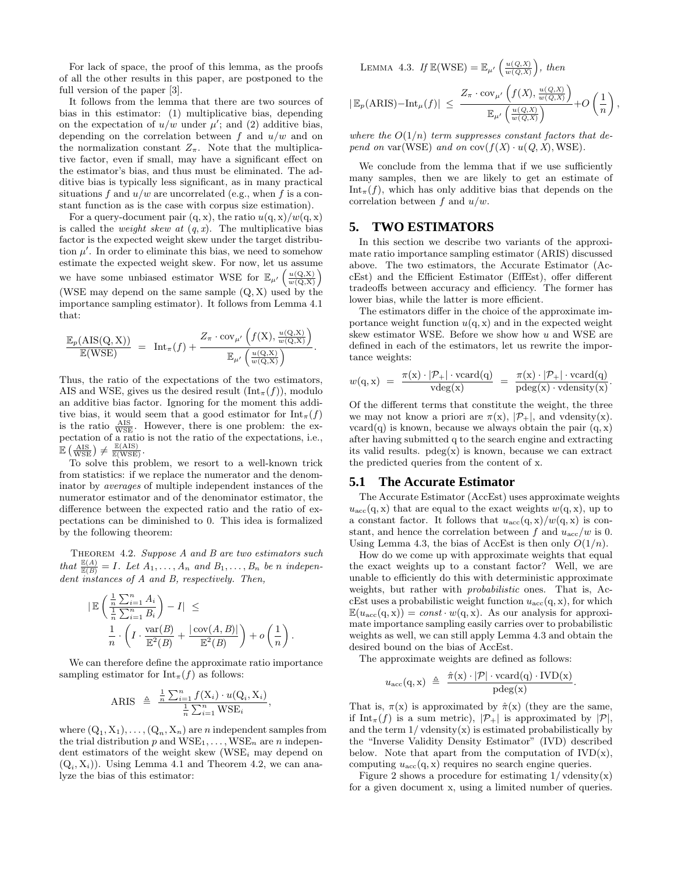For lack of space, the proof of this lemma, as the proofs of all the other results in this paper, are postponed to the full version of the paper [3].

It follows from the lemma that there are two sources of bias in this estimator: (1) multiplicative bias, depending on the expectation of  $u/w$  under  $\mu'$ ; and (2) additive bias, depending on the correlation between f and  $u/w$  and on the normalization constant  $Z_{\pi}$ . Note that the multiplicative factor, even if small, may have a significant effect on the estimator's bias, and thus must be eliminated. The additive bias is typically less significant, as in many practical situations f and  $u/w$  are uncorrelated (e.g., when f is a constant function as is the case with corpus size estimation).

For a query-document pair  $(q, x)$ , the ratio  $u(q, x)/w(q, x)$ is called the *weight skew at*  $(q, x)$ . The multiplicative bias factor is the expected weight skew under the target distribution  $\mu'$ . In order to eliminate this bias, we need to somehow estimate the expected weight skew. For now, let us assume we have some unbiased estimator WSE for  $\mathbb{E}_{\mu'}\left(\frac{u(Q,X)}{w(Q,X)}\right)$ (WSE may depend on the same sample (Q, X) used by the importance sampling estimator). It follows from Lemma 4.1 that:

$$
\frac{\mathbb{E}_p(\text{AIS}(Q,X))}{\mathbb{E}(\text{WSE})} = \text{Int}_{\pi}(f) + \frac{Z_{\pi} \cdot \text{cov}_{\mu'}}{\mathbb{E}_{\mu'}\left(\frac{u(Q,X)}{w(Q,X)}\right)}.
$$

Thus, the ratio of the expectations of the two estimators, AIS and WSE, gives us the desired result  $(\text{Int}_{\pi}(f))$ , modulo an additive bias factor. Ignoring for the moment this additive bias, it would seem that a good estimator for  $\text{Int}_{\pi}(f)$ is the ratio  $\frac{ABS}{WSE}$ . However, there is one problem: the expectation of a ratio is not the ratio of the expectations, i.e.,  $\mathbb{E}\left(\frac{\text{AIS}}{\text{WSE}}\right) \neq \frac{\mathbb{E}(\text{AIS})}{\mathbb{E}(\text{WSE})}.$ 

To solve this problem, we resort to a well-known trick from statistics: if we replace the numerator and the denominator by averages of multiple independent instances of the numerator estimator and of the denominator estimator, the difference between the expected ratio and the ratio of expectations can be diminished to 0. This idea is formalized by the following theorem:

THEOREM 4.2. Suppose A and B are two estimators such that  $\frac{\mathbb{E}(A)}{\mathbb{E}(B)} = I$ . Let  $A_1, \ldots, A_n$  and  $B_1, \ldots, B_n$  be n independent instances of A and B, respectively. Then,

$$
\begin{array}{ll}\n|\mathbb{E}\left(\frac{\frac{1}{n}\sum_{i=1}^n A_i}{\frac{1}{n}\sum_{i=1}^n B_i}\right) - I| & \leq \\
\frac{1}{n} \cdot \left(I \cdot \frac{\text{var}(B)}{\mathbb{E}^2(B)} + \frac{|\text{cov}(A,B)|}{\mathbb{E}^2(B)}\right) + o\left(\frac{1}{n}\right).\n\end{array}
$$

We can therefore define the approximate ratio importance sampling estimator for  $Int_{\pi}(f)$  as follows:

$$
\text{ARIS} \triangleq \frac{\frac{1}{n}\sum_{i=1}^{n}f(\textbf{X}_i)\cdot u(\textbf{Q}_i,\textbf{X}_i)}{\frac{1}{n}\sum_{i=1}^{n}\text{WSE}_i},
$$

where  $(Q_1, X_1), \ldots, (Q_n, X_n)$  are *n* independent samples from the trial distribution p and  $WSE_1, \ldots, WSE_n$  are n independent estimators of the weight skew  $(WSE_i$  may depend on  $(Q_i, X_i)$ ). Using Lemma 4.1 and Theorem 4.2, we can analyze the bias of this estimator:

LEMMA 4.3. If  $\mathbb{E}(WSE) = \mathbb{E}_{\mu'}\left(\frac{u(Q,X)}{w(Q,X)}\right)$ , then

$$
|\mathbb{E}_p(\text{ARIS}) - \text{Int}_{\mu}(f)| \leq \frac{Z_{\pi} \cdot \text{cov}_{\mu'}\left(f(X), \frac{u(Q, X)}{w(Q, X)}\right)}{\mathbb{E}_{\mu'}\left(\frac{u(Q, X)}{w(Q, X)}\right)} + O\left(\frac{1}{n}\right)
$$

,

where the  $O(1/n)$  term suppresses constant factors that depend on var(WSE) and on  $cov(f(X) \cdot u(Q, X), WSE)$ .

We conclude from the lemma that if we use sufficiently many samples, then we are likely to get an estimate of  $Int_{\pi}(f)$ , which has only additive bias that depends on the correlation between f and  $u/w$ .

# **5. TWO ESTIMATORS**

In this section we describe two variants of the approximate ratio importance sampling estimator (ARIS) discussed above. The two estimators, the Accurate Estimator (AccEst) and the Efficient Estimator (EffEst), offer different tradeoffs between accuracy and efficiency. The former has lower bias, while the latter is more efficient.

The estimators differ in the choice of the approximate importance weight function  $u(q, x)$  and in the expected weight skew estimator WSE. Before we show how u and WSE are defined in each of the estimators, let us rewrite the importance weights:

$$
w(\mathbf{q}, \mathbf{x}) = \frac{\pi(\mathbf{x}) \cdot |\mathcal{P}_+| \cdot \text{vcard}(\mathbf{q})}{\text{vdeg}(\mathbf{x})} = \frac{\pi(\mathbf{x}) \cdot |\mathcal{P}_+| \cdot \text{vcard}(\mathbf{q})}{\text{pdeg}(\mathbf{x}) \cdot \text{vdensity}(\mathbf{x})}.
$$

Of the different terms that constitute the weight, the three we may not know a priori are  $\pi(x)$ ,  $|\mathcal{P}_+|$ , and vdensity(x).  $vcard(q)$  is known, because we always obtain the pair  $(q, x)$ after having submitted q to the search engine and extracting its valid results.  $p \deg(x)$  is known, because we can extract the predicted queries from the content of x.

#### **5.1 The Accurate Estimator**

The Accurate Estimator (AccEst) uses approximate weights  $u_{\text{acc}}(q, x)$  that are equal to the exact weights  $w(q, x)$ , up to a constant factor. It follows that  $u_{\text{acc}}(q, x)/w(q, x)$  is constant, and hence the correlation between f and  $u_{\text{acc}}/w$  is 0. Using Lemma 4.3, the bias of AccEst is then only  $O(1/n)$ .

How do we come up with approximate weights that equal the exact weights up to a constant factor? Well, we are unable to efficiently do this with deterministic approximate weights, but rather with *probabilistic* ones. That is, AccEst uses a probabilistic weight function  $u_{\text{acc}}(q, x)$ , for which  $\mathbb{E}(u_{\text{acc}}(q, x)) = const \cdot w(q, x)$ . As our analysis for approximate importance sampling easily carries over to probabilistic weights as well, we can still apply Lemma 4.3 and obtain the desired bound on the bias of AccEst.

The approximate weights are defined as follows:

$$
u_{\rm acc}(\mathbf{q}, \mathbf{x}) \triangleq \frac{\hat{\pi}(\mathbf{x}) \cdot |\mathcal{P}| \cdot \text{vcard}(\mathbf{q}) \cdot \text{IVD}(\mathbf{x})}{\text{pdeg}(\mathbf{x})}.
$$

That is,  $\pi(x)$  is approximated by  $\hat{\pi}(x)$  (they are the same, if Int<sub>π</sub>(f) is a sum metric),  $|\mathcal{P}_+|$  is approximated by  $|\mathcal{P}|$ , and the term  $1/\text{velensity}(x)$  is estimated probabilistically by the "Inverse Validity Density Estimator" (IVD) described below. Note that apart from the computation of  $IVD(x)$ , computing  $u_{\text{acc}}(q, x)$  requires no search engine queries.

Figure 2 shows a procedure for estimating  $1/\text{velensity}(x)$ for a given document x, using a limited number of queries.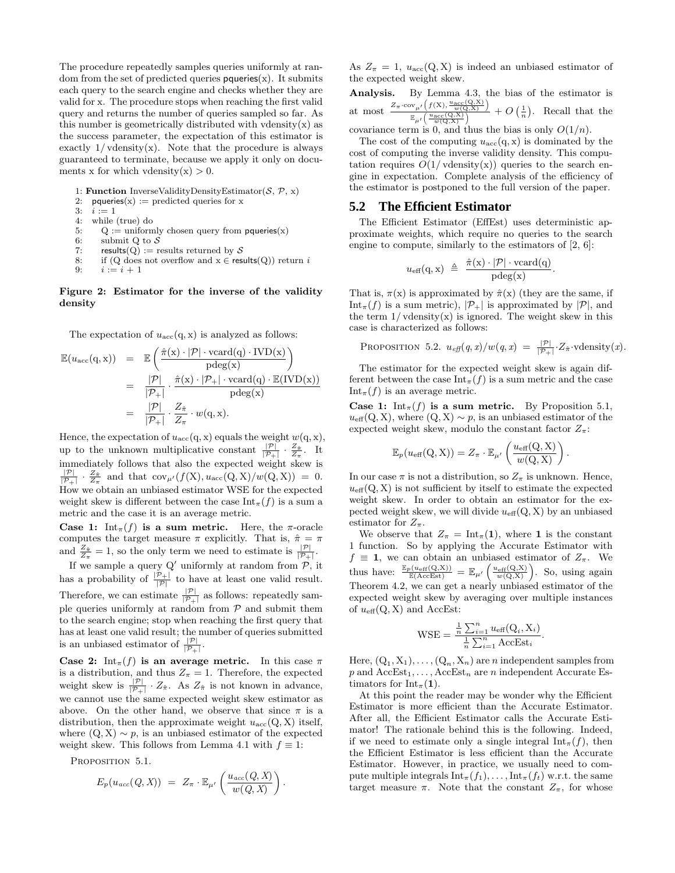The procedure repeatedly samples queries uniformly at random from the set of predicted queries  $p$  queries $(x)$ . It submits each query to the search engine and checks whether they are valid for x. The procedure stops when reaching the first valid query and returns the number of queries sampled so far. As this number is geometrically distributed with vdensity $(x)$  as the success parameter, the expectation of this estimator is exactly  $1/\text{velensity}(x)$ . Note that the procedure is always guaranteed to terminate, because we apply it only on documents x for which vdensity $(x) > 0$ .

1: **Function** InverseValidityDensityEstimator( $S$ ,  $\mathcal{P}$ , x)<br>2: **paueries**( $x$ ) := predicted queries for x

- 2: pqueries(x) := predicted queries for x<br>3:  $i := 1$
- 3:  $i := 1$ <br>4: while
- 4: while (true) do<br>5:  $Q := \text{uniform}$
- 5:  $Q :=$  uniformly chosen query from pqueries(x)<br>6: submit Q to S
- submit Q to  $S$
- 7: results(Q) := results returned by S
- 8: if (Q does not overflow and  $x \in \text{results}(Q))$  return  $i$
- 9:  $i := i + 1$

#### Figure 2: Estimator for the inverse of the validity density

The expectation of  $u_{\text{acc}}(q, x)$  is analyzed as follows:

$$
\mathbb{E}(u_{\text{acc}}(\mathbf{q}, \mathbf{x})) = \mathbb{E}\left(\frac{\hat{\pi}(\mathbf{x}) \cdot |\mathcal{P}| \cdot \text{vcard}(\mathbf{q}) \cdot \text{IVD}(\mathbf{x})}{\text{pdeg}(\mathbf{x})}\right)
$$
  
\n
$$
= \frac{|\mathcal{P}|}{|\mathcal{P}_+|} \cdot \frac{\hat{\pi}(\mathbf{x}) \cdot |\mathcal{P}_+| \cdot \text{vcard}(\mathbf{q}) \cdot \mathbb{E}(\text{IVD}(\mathbf{x}))}{\text{pdeg}(\mathbf{x})}
$$
  
\n
$$
= \frac{|\mathcal{P}|}{|\mathcal{P}_+|} \cdot \frac{Z_{\hat{\pi}}}{Z_{\pi}} \cdot w(\mathbf{q}, \mathbf{x}).
$$

Hence, the expectation of  $u_{\text{acc}}(q, x)$  equals the weight  $w(q, x)$ , up to the unknown multiplicative constant  $\frac{|\mathcal{P}|}{|\mathcal{P}_1|} \cdot \frac{Z_{\hat{\pi}}}{Z_{\hat{\pi}}}$ . It immediately follows that also the expected weight skew is<br>  $\frac{|\mathcal{P}|}{|\mathcal{P}_+|} \cdot \frac{Z_{\pi}}{Z_{\pi}}$  and that  $\text{cov}_{\mu'}(f(X), u_{\text{acc}}(Q, X)/w(Q, X)) = 0$ . How we obtain an unbiased estimator WSE for the expected weight skew is different between the case  $\text{Int}_{\pi}(f)$  is a sum a metric and the case it is an average metric.

Case 1:  $\text{Int}_{\pi}(f)$  is a sum metric. Here, the  $\pi$ -oracle computes the target measure  $\pi$  explicitly. That is,  $\hat{\pi} = \pi$ and  $\frac{Z_{\hat{\pi}}}{Z_{\pi}} = 1$ , so the only term we need to estimate is  $\frac{|\mathcal{P}|}{|\mathcal{P}_+|}$ .

If we sample a query  $Q'$  uniformly at random from  $\mathcal{P}$ , it has a probability of  $\frac{|\mathcal{P}_+|}{|\mathcal{P}|}$  to have at least one valid result. Therefore, we can estimate  $\frac{|\mathcal{P}|}{|\mathcal{P}_+|}$  as follows: repeatedly sample queries uniformly at random from  $P$  and submit them to the search engine; stop when reaching the first query that has at least one valid result; the number of queries submitted is an unbiased estimator of  $\frac{|\mathcal{P}|}{|\mathcal{P}_+|}$ .

Case 2:  $\text{Int}_{\pi}(f)$  is an average metric. In this case  $\pi$ is a distribution, and thus  $Z_{\pi} = 1$ . Therefore, the expected weight skew is  $\frac{|\mathcal{P}|}{|\mathcal{P}_+|} \cdot Z_{\hat{\pi}}$ . As  $Z_{\hat{\pi}}$  is not known in advance, we cannot use the same expected weight skew estimator as above. On the other hand, we observe that since  $\pi$  is a distribution, then the approximate weight  $u_{\text{acc}}(Q, X)$  itself, where  $(Q, X) \sim p$ , is an unbiased estimator of the expected weight skew. This follows from Lemma 4.1 with  $f \equiv 1$ :

PROPOSITION 5.1.

$$
E_p(u_{acc}(Q, X)) = Z_{\pi} \cdot \mathbb{E}_{\mu'} \left( \frac{u_{acc}(Q, X)}{w(Q, X)} \right).
$$

As  $Z_{\pi} = 1$ ,  $u_{\text{acc}}(Q, X)$  is indeed an unbiased estimator of the expected weight skew.

Analysis. By Lemma 4.3, the bias of the estimator is at most  $Z_{\pi}$ ·cov<sub>µ</sub>,  $\left(f(X), \frac{u_{\text{acc}}(Q,X)}{w(Q,X)}\right)$  $\frac{\frac{\mu}{\mu}\left(s\right) \left(s\right) - w\left(Q,X\right)}{\frac{w\left(Q,X\right)}{w\left(Q,X\right)}} + O$  $\left(\frac{1}{n}\right)$ . Recall that the covariance term is 0, and thus the bias is only  $O(1/n)$ .

The cost of the computing  $u_{\text{acc}}(q, x)$  is dominated by the cost of computing the inverse validity density. This computation requires  $O(1/\text{velensity}(x))$  queries to the search engine in expectation. Complete analysis of the efficiency of the estimator is postponed to the full version of the paper.

# **5.2 The Efficient Estimator**

The Efficient Estimator (EffEst) uses deterministic approximate weights, which require no queries to the search engine to compute, similarly to the estimators of [2, 6]:

$$
u_{\text{eff}}(q, x) \triangleq \frac{\hat{\pi}(x) \cdot |\mathcal{P}| \cdot \text{vcard}(q)}{\text{pdeg}(x)}.
$$

That is,  $\pi(x)$  is approximated by  $\hat{\pi}(x)$  (they are the same, if Int<sub>π</sub>(f) is a sum metric),  $|\mathcal{P}_+|$  is approximated by  $|\mathcal{P}|$ , and the term  $1/\text{velensity}(x)$  is ignored. The weight skew in this case is characterized as follows:

PROPOSITION 5.2. 
$$
u_{\text{eff}}(q, x)/w(q, x) = \frac{|\mathcal{P}|}{|\mathcal{P}_+|} \cdot Z_{\hat{\pi}} \cdot \text{vdensity}(x)
$$
.

The estimator for the expected weight skew is again different between the case  $\text{Int}_{\pi}(f)$  is a sum metric and the case Int<sub> $\pi$ </sub> $(f)$  is an average metric.

Case 1:  $\text{Int}_{\pi}(f)$  is a sum metric. By Proposition 5.1,  $u_{\text{eff}}(Q, X)$ , where  $(Q, X) \sim p$ , is an unbiased estimator of the expected weight skew, modulo the constant factor  $Z_{\pi}$ :

$$
\mathbb{E}_p(u_{\text{eff}}(Q, X)) = Z_{\pi} \cdot \mathbb{E}_{\mu'}\left(\frac{u_{\text{eff}}(Q, X)}{w(Q, X)}\right)
$$

.

In our case  $\pi$  is not a distribution, so  $Z_{\pi}$  is unknown. Hence,  $u_{\text{eff}}(Q, X)$  is not sufficient by itself to estimate the expected weight skew. In order to obtain an estimator for the expected weight skew, we will divide  $u_{\text{eff}}(Q, X)$  by an unbiased estimator for  $Z_{\pi}$ .

We observe that  $Z_{\pi} = \text{Int}_{\pi}(1)$ , where 1 is the constant 1 function. So by applying the Accurate Estimator with  $f \equiv 1$ , we can obtain an unbiased estimator of  $Z_{\pi}$ . We thus have:  $\frac{\mathbb{E}_p(u_{\text{eff}}(Q,X))}{\mathbb{E}(AccEst)} = \mathbb{E}_{\mu'}\left(\frac{u_{\text{eff}}(Q,X)}{w(Q,X)}\right)$ . So, using again Theorem 4.2, we can get a nearly unbiased estimator of the expected weight skew by averaging over multiple instances of  $u_{\text{eff}}(Q, X)$  and AccEst:

$$
\text{WSE} = \frac{\frac{1}{n} \sum_{i=1}^{n} u_{\text{eff}}(Q_i, X_i)}{\frac{1}{n} \sum_{i=1}^{n} \text{AccEst}_i}.
$$

Here,  $(Q_1, X_1), \ldots, (Q_n, X_n)$  are *n* independent samples from  $p$  and  $AccEst_1, \ldots, AccEst_n$  are n independent Accurate Estimators for  $Int_{\pi}(1)$ .

At this point the reader may be wonder why the Efficient Estimator is more efficient than the Accurate Estimator. After all, the Efficient Estimator calls the Accurate Estimator! The rationale behind this is the following. Indeed, if we need to estimate only a single integral  $\text{Int}_{\pi}(f)$ , then the Efficient Estimator is less efficient than the Accurate Estimator. However, in practice, we usually need to compute multiple integrals  $\text{Int}_{\pi}(f_1), \ldots, \text{Int}_{\pi}(f_t)$  w.r.t. the same target measure  $\pi$ . Note that the constant  $Z_{\pi}$ , for whose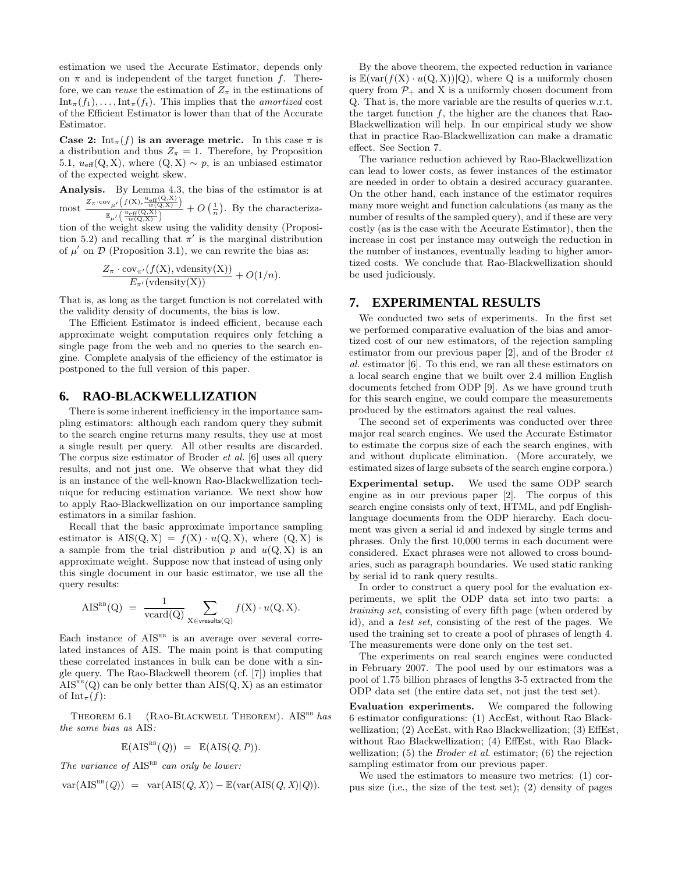estimation we used the Accurate Estimator, depends only on  $\pi$  and is independent of the target function f. Therefore, we can reuse the estimation of  $Z_{\pi}$  in the estimations of  $Int_{\pi}(f_1), \ldots, Int_{\pi}(f_t)$ . This implies that the *amortized* cost of the Efficient Estimator is lower than that of the Accurate Estimator.

Case 2:  $\text{Int}_{\pi}(f)$  is an average metric. In this case  $\pi$  is a distribution and thus  $Z_{\pi} = 1$ . Therefore, by Proposition 5.1,  $u_{\text{eff}}(Q, X)$ , where  $(Q, X) \sim p$ , is an unbiased estimator of the expected weight skew.

Analysis. By Lemma 4.3, the bias of the estimator is at  $\text{most } \frac{Z_{\pi} \cdot \text{cov}_{\mu'}\left(f(X), \frac{u_{\text{eff}}(Q,X)}{w(Q,X)}\right)}{u_{\text{eff}}(Q,X)}$ 

 $\frac{\mathbb{E}_{\mu'}(V^{(\lambda)}, \frac{w(Q, X)}{w(Q, X)})}{\mathbb{E}_{\mu'}(\frac{u_{eff}(Q, X)}{w(Q, X)})} + O\left(\frac{1}{n}\right)$ . By the characteriza-

tion of the weight skew using the validity density (Proposition 5.2) and recalling that  $\pi'$  is the marginal distribution of  $\mu'$  on  $\mathcal D$  (Proposition 3.1), we can rewrite the bias as:

$$
\frac{Z_{\pi} \cdot \text{cov}_{\pi'}(f(\mathbf{X}), \text{vdensity}(\mathbf{X}))}{E_{\pi'}(\text{vdensity}(\mathbf{X}))} + O(1/n).
$$

That is, as long as the target function is not correlated with the validity density of documents, the bias is low.

The Efficient Estimator is indeed efficient, because each approximate weight computation requires only fetching a single page from the web and no queries to the search engine. Complete analysis of the efficiency of the estimator is postponed to the full version of this paper.

# **6. RAO-BLACKWELLIZATION**

There is some inherent inefficiency in the importance sampling estimators: although each random query they submit to the search engine returns many results, they use at most a single result per query. All other results are discarded. The corpus size estimator of Broder et al. [6] uses all query results, and not just one. We observe that what they did is an instance of the well-known Rao-Blackwellization technique for reducing estimation variance. We next show how to apply Rao-Blackwellization on our importance sampling estimators in a similar fashion.

Recall that the basic approximate importance sampling estimator is  $\text{AIS}(Q, X) = f(X) \cdot u(Q, X)$ , where  $(Q, X)$  is a sample from the trial distribution p and  $u(Q, X)$  is an approximate weight. Suppose now that instead of using only this single document in our basic estimator, we use all the query results:

$$
\text{AIS}^{\text{RB}}(\text{Q}) = \frac{1}{\text{vcard}(\text{Q})} \sum_{\text{X} \in \text{vresults}(\text{Q})} f(\text{X}) \cdot u(\text{Q}, \text{X}).
$$

Each instance of  $AIS<sup>RB</sup>$  is an average over several correlated instances of AIS. The main point is that computing these correlated instances in bulk can be done with a single query. The Rao-Blackwell theorem (cf. [7]) implies that  $AIS^{RB}(Q)$  can be only better than  $AIS(Q, X)$  as an estimator of Int<sub> $\pi$ </sub> $(f)$ :

THEOREM  $6.1$  (RAO-BLACKWELL THEOREM). AISRB has the same bias as AIS:

$$
\mathbb{E}(\text{AIS}^{\text{RB}}(Q)) = \mathbb{E}(\text{AIS}(Q, P)).
$$

The variance of  $\text{AIS}^{\text{RB}}$  can only be lower:

$$
\text{var}(\text{AIS}^{\text{RB}}(Q)) = \text{var}(\text{AIS}(Q, X)) - \mathbb{E}(\text{var}(\text{AIS}(Q, X)|Q)).
$$

By the above theorem, the expected reduction in variance is  $\mathbb{E}(\text{var}(f(X) \cdot u(Q, X))|Q)$ , where Q is a uniformly chosen query from  $P_+$  and X is a uniformly chosen document from Q. That is, the more variable are the results of queries w.r.t. the target function  $f$ , the higher are the chances that Rao-Blackwellization will help. In our empirical study we show that in practice Rao-Blackwellization can make a dramatic effect. See Section 7.

The variance reduction achieved by Rao-Blackwellization can lead to lower costs, as fewer instances of the estimator are needed in order to obtain a desired accuracy guarantee. On the other hand, each instance of the estimator requires many more weight and function calculations (as many as the number of results of the sampled query), and if these are very costly (as is the case with the Accurate Estimator), then the increase in cost per instance may outweigh the reduction in the number of instances, eventually leading to higher amortized costs. We conclude that Rao-Blackwellization should be used judiciously.

# **7. EXPERIMENTAL RESULTS**

We conducted two sets of experiments. In the first set we performed comparative evaluation of the bias and amortized cost of our new estimators, of the rejection sampling estimator from our previous paper [2], and of the Broder et al. estimator [6]. To this end, we ran all these estimators on a local search engine that we built over 2.4 million English documents fetched from ODP [9]. As we have ground truth for this search engine, we could compare the measurements produced by the estimators against the real values.

The second set of experiments was conducted over three major real search engines. We used the Accurate Estimator to estimate the corpus size of each the search engines, with and without duplicate elimination. (More accurately, we estimated sizes of large subsets of the search engine corpora.)

Experimental setup. We used the same ODP search engine as in our previous paper [2]. The corpus of this search engine consists only of text, HTML, and pdf Englishlanguage documents from the ODP hierarchy. Each document was given a serial id and indexed by single terms and phrases. Only the first 10,000 terms in each document were considered. Exact phrases were not allowed to cross boundaries, such as paragraph boundaries. We used static ranking by serial id to rank query results.

In order to construct a query pool for the evaluation experiments, we split the ODP data set into two parts: a training set, consisting of every fifth page (when ordered by id), and a test set, consisting of the rest of the pages. We used the training set to create a pool of phrases of length 4. The measurements were done only on the test set.

The experiments on real search engines were conducted in February 2007. The pool used by our estimators was a pool of 1.75 billion phrases of lengths 3-5 extracted from the ODP data set (the entire data set, not just the test set).

Evaluation experiments. We compared the following 6 estimator configurations: (1) AccEst, without Rao Blackwellization; (2) AccEst, with Rao Blackwellization; (3) EffEst, without Rao Blackwellization; (4) EffEst, with Rao Blackwellization;  $(5)$  the *Broder et al.* estimator;  $(6)$  the rejection sampling estimator from our previous paper.

We used the estimators to measure two metrics: (1) corpus size (i.e., the size of the test set); (2) density of pages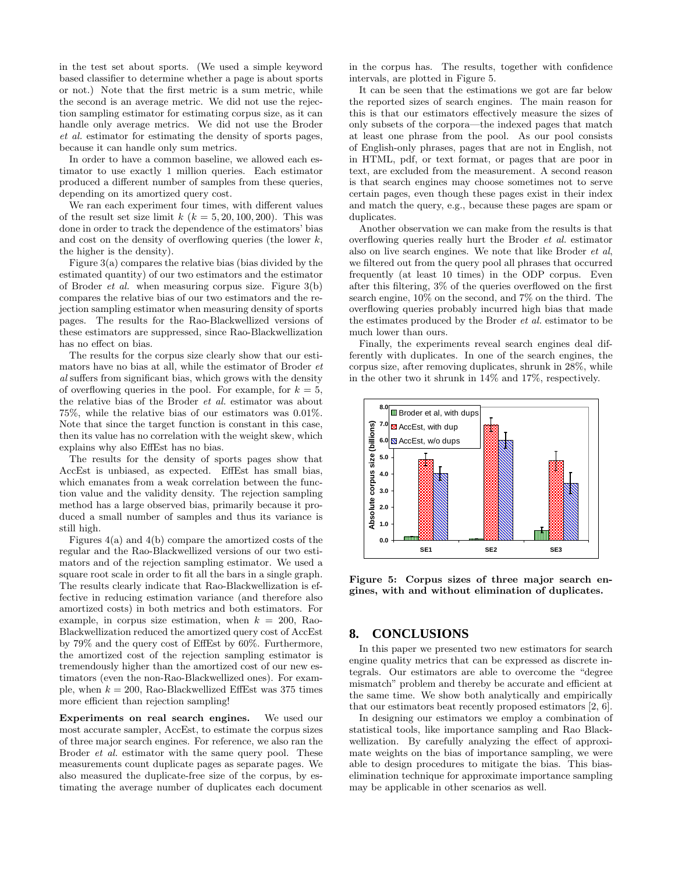in the test set about sports. (We used a simple keyword based classifier to determine whether a page is about sports or not.) Note that the first metric is a sum metric, while the second is an average metric. We did not use the rejection sampling estimator for estimating corpus size, as it can handle only average metrics. We did not use the Broder et al. estimator for estimating the density of sports pages, because it can handle only sum metrics.

In order to have a common baseline, we allowed each estimator to use exactly 1 million queries. Each estimator produced a different number of samples from these queries, depending on its amortized query cost.

We ran each experiment four times, with different values of the result set size limit  $k$   $(k = 5, 20, 100, 200)$ . This was done in order to track the dependence of the estimators' bias and cost on the density of overflowing queries (the lower  $k$ , the higher is the density).

Figure 3(a) compares the relative bias (bias divided by the estimated quantity) of our two estimators and the estimator of Broder *et al.* when measuring corpus size. Figure  $3(b)$ compares the relative bias of our two estimators and the rejection sampling estimator when measuring density of sports pages. The results for the Rao-Blackwellized versions of these estimators are suppressed, since Rao-Blackwellization has no effect on bias.

The results for the corpus size clearly show that our estimators have no bias at all, while the estimator of Broder et al suffers from significant bias, which grows with the density of overflowing queries in the pool. For example, for  $k = 5$ , the relative bias of the Broder et al. estimator was about 75%, while the relative bias of our estimators was 0.01%. Note that since the target function is constant in this case, then its value has no correlation with the weight skew, which explains why also EffEst has no bias.

The results for the density of sports pages show that AccEst is unbiased, as expected. EffEst has small bias, which emanates from a weak correlation between the function value and the validity density. The rejection sampling method has a large observed bias, primarily because it produced a small number of samples and thus its variance is still high.

Figures 4(a) and 4(b) compare the amortized costs of the regular and the Rao-Blackwellized versions of our two estimators and of the rejection sampling estimator. We used a square root scale in order to fit all the bars in a single graph. The results clearly indicate that Rao-Blackwellization is effective in reducing estimation variance (and therefore also amortized costs) in both metrics and both estimators. For example, in corpus size estimation, when  $k = 200$ , Rao-Blackwellization reduced the amortized query cost of AccEst by 79% and the query cost of EffEst by 60%. Furthermore, the amortized cost of the rejection sampling estimator is tremendously higher than the amortized cost of our new estimators (even the non-Rao-Blackwellized ones). For example, when  $k = 200$ , Rao-Blackwellized EffEst was 375 times more efficient than rejection sampling!

Experiments on real search engines. We used our most accurate sampler, AccEst, to estimate the corpus sizes of three major search engines. For reference, we also ran the Broder *et al.* estimator with the same query pool. These measurements count duplicate pages as separate pages. We also measured the duplicate-free size of the corpus, by estimating the average number of duplicates each document

in the corpus has. The results, together with confidence intervals, are plotted in Figure 5.

It can be seen that the estimations we got are far below the reported sizes of search engines. The main reason for this is that our estimators effectively measure the sizes of only subsets of the corpora—the indexed pages that match at least one phrase from the pool. As our pool consists of English-only phrases, pages that are not in English, not in HTML, pdf, or text format, or pages that are poor in text, are excluded from the measurement. A second reason is that search engines may choose sometimes not to serve certain pages, even though these pages exist in their index and match the query, e.g., because these pages are spam or duplicates.

Another observation we can make from the results is that overflowing queries really hurt the Broder et al. estimator also on live search engines. We note that like Broder et al, we filtered out from the query pool all phrases that occurred frequently (at least 10 times) in the ODP corpus. Even after this filtering, 3% of the queries overflowed on the first search engine, 10% on the second, and 7% on the third. The overflowing queries probably incurred high bias that made the estimates produced by the Broder et al. estimator to be much lower than ours.

Finally, the experiments reveal search engines deal differently with duplicates. In one of the search engines, the corpus size, after removing duplicates, shrunk in 28%, while in the other two it shrunk in 14% and 17%, respectively.



Figure 5: Corpus sizes of three major search engines, with and without elimination of duplicates.

# **8. CONCLUSIONS**

In this paper we presented two new estimators for search engine quality metrics that can be expressed as discrete integrals. Our estimators are able to overcome the "degree mismatch" problem and thereby be accurate and efficient at the same time. We show both analytically and empirically that our estimators beat recently proposed estimators [2, 6].

In designing our estimators we employ a combination of statistical tools, like importance sampling and Rao Blackwellization. By carefully analyzing the effect of approximate weights on the bias of importance sampling, we were able to design procedures to mitigate the bias. This biaselimination technique for approximate importance sampling may be applicable in other scenarios as well.